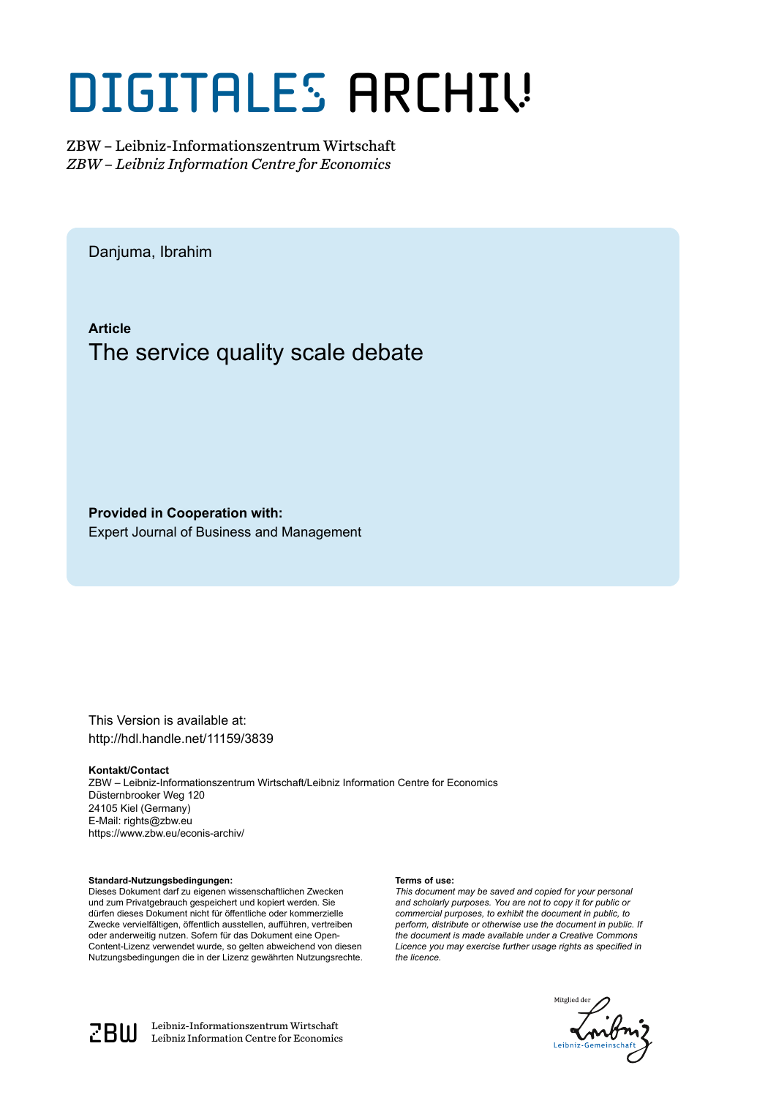# DIGITALES ARCHIV

ZBW – Leibniz-Informationszentrum Wirtschaft *ZBW – Leibniz Information Centre for Economics*

Danjuma, Ibrahim

**Article** The service quality scale debate

**Provided in Cooperation with:** Expert Journal of Business and Management

This Version is available at: http://hdl.handle.net/11159/3839

#### **Kontakt/Contact**

ZBW – Leibniz-Informationszentrum Wirtschaft/Leibniz Information Centre for Economics Düsternbrooker Weg 120 24105 Kiel (Germany) E-Mail: rights@zbw.eu https://www.zbw.eu/econis-archiv/

#### **Standard-Nutzungsbedingungen:**

Dieses Dokument darf zu eigenen wissenschaftlichen Zwecken und zum Privatgebrauch gespeichert und kopiert werden. Sie dürfen dieses Dokument nicht für öffentliche oder kommerzielle Zwecke vervielfältigen, öffentlich ausstellen, aufführen, vertreiben oder anderweitig nutzen. Sofern für das Dokument eine Open-Content-Lizenz verwendet wurde, so gelten abweichend von diesen Nutzungsbedingungen die in der Lizenz gewährten Nutzungsrechte.

#### **Terms of use:**

*This document may be saved and copied for your personal and scholarly purposes. You are not to copy it for public or commercial purposes, to exhibit the document in public, to perform, distribute or otherwise use the document in public. If the document is made available under a Creative Commons Licence you may exercise further usage rights as specified in the licence.*





 $\mathbb{Z} \text{B} \text{U}$  Leibniz-Informationszentrum Wirtschaft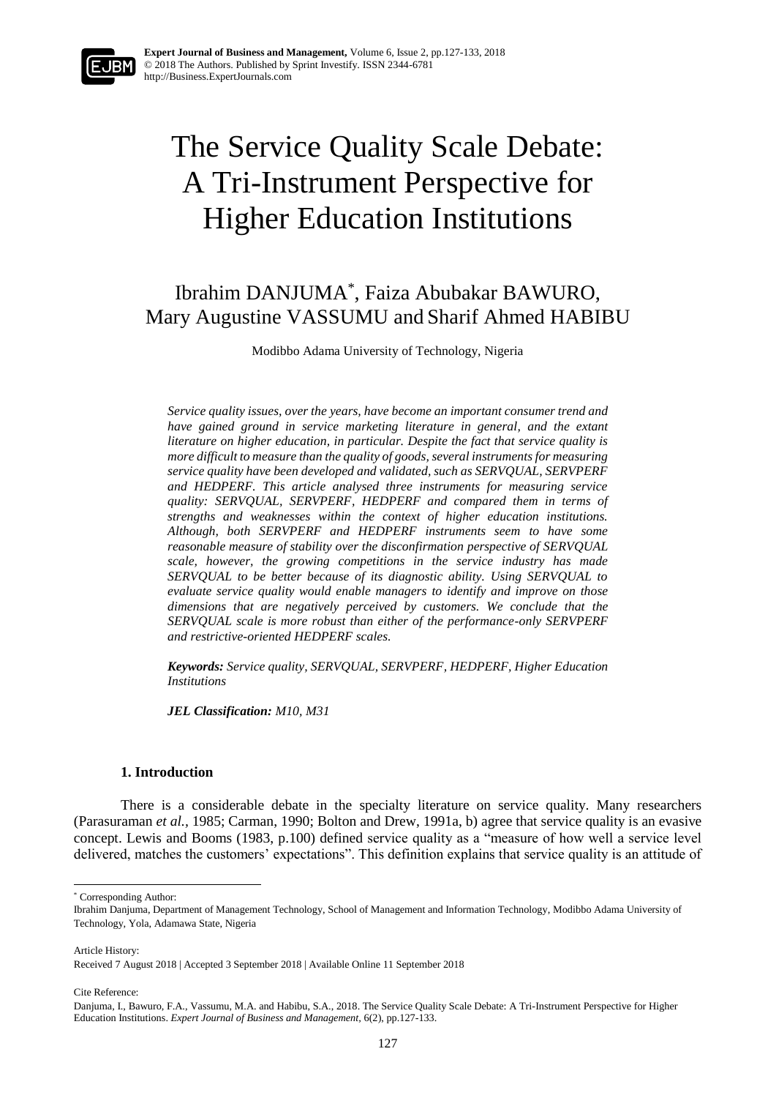## The Service Quality Scale Debate: A Tri-Instrument Perspective for Higher Education Institutions

### Ibrahim DANJUMA\* , Faiza Abubakar BAWURO, Mary Augustine VASSUMU and Sharif Ahmed HABIBU

Modibbo Adama University of Technology, Nigeria

*Service quality issues, over the years, have become an important consumer trend and have gained ground in service marketing literature in general, and the extant literature on higher education, in particular. Despite the fact that service quality is more difficult to measure than the quality of goods, several instruments for measuring service quality have been developed and validated, such as SERVQUAL, SERVPERF and HEDPERF. This article analysed three instruments for measuring service quality: SERVQUAL, SERVPERF, HEDPERF and compared them in terms of strengths and weaknesses within the context of higher education institutions. Although, both SERVPERF and HEDPERF instruments seem to have some reasonable measure of stability over the disconfirmation perspective of SERVQUAL scale, however, the growing competitions in the service industry has made SERVQUAL to be better because of its diagnostic ability. Using SERVQUAL to evaluate service quality would enable managers to identify and improve on those dimensions that are negatively perceived by customers. We conclude that the SERVQUAL scale is more robust than either of the performance-only SERVPERF and restrictive-oriented HEDPERF scales.*

*Keywords: Service quality, SERVQUAL, SERVPERF, HEDPERF, Higher Education Institutions*

*JEL Classification: M10, M31*

#### **1. Introduction**

There is a considerable debate in the specialty literature on service quality. Many researchers (Parasuraman *et al.,* 1985; Carman, 1990; Bolton and Drew, 1991a, b) agree that service quality is an evasive concept. Lewis and Booms (1983, p.100) defined service quality as a "measure of how well a service level delivered, matches the customers' expectations". This definition explains that service quality is an attitude of

Article History:

1

Cite Reference:

<sup>\*</sup> Corresponding Author:

Ibrahim Danjuma, Department of Management Technology, School of Management and Information Technology, Modibbo Adama University of Technology, Yola, Adamawa State, Nigeria

Received 7 August 2018 | Accepted 3 September 2018 | Available Online 11 September 2018

Danjuma, I., Bawuro, F.A., Vassumu, M.A. and Habibu, S.A., 2018. The Service Quality Scale Debate: A Tri-Instrument Perspective for Higher Education Institutions. *Expert Journal of Business and Management,* 6(2), pp.127-133.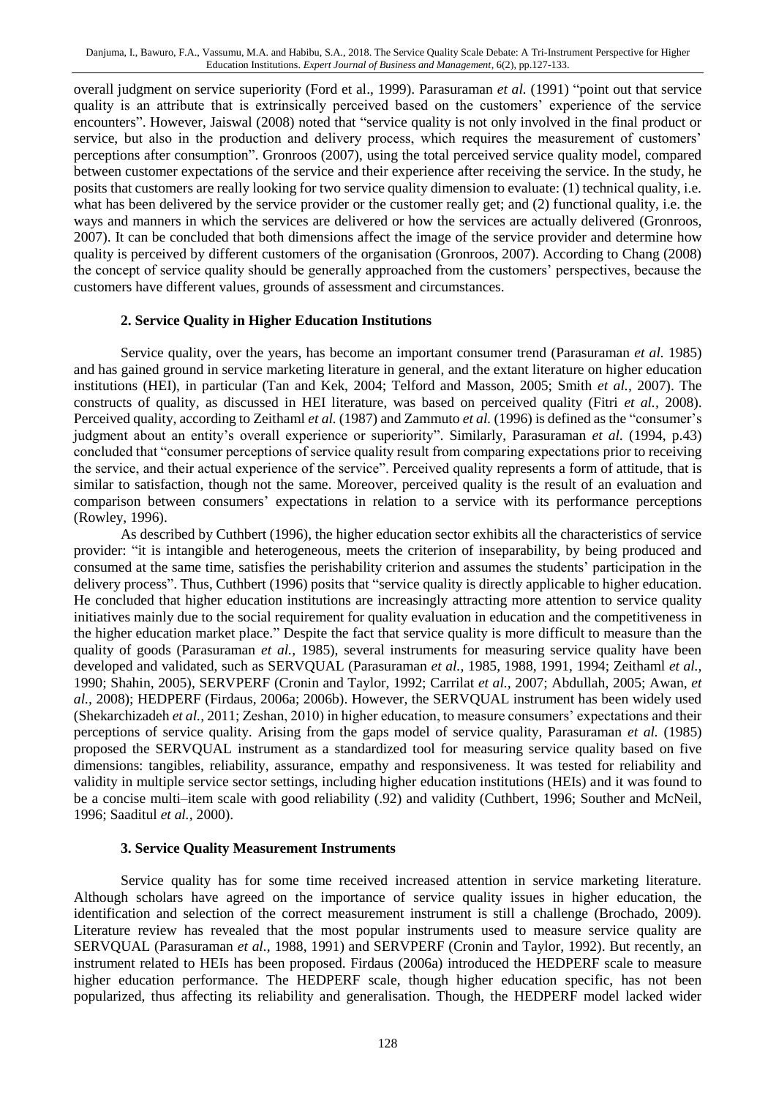overall judgment on service superiority (Ford et al., 1999). Parasuraman *et al.* (1991) "point out that service quality is an attribute that is extrinsically perceived based on the customers' experience of the service encounters". However, Jaiswal (2008) noted that "service quality is not only involved in the final product or service, but also in the production and delivery process, which requires the measurement of customers' perceptions after consumption". Gronroos (2007), using the total perceived service quality model, compared between customer expectations of the service and their experience after receiving the service. In the study, he posits that customers are really looking for two service quality dimension to evaluate: (1) technical quality, i.e. what has been delivered by the service provider or the customer really get; and (2) functional quality, i.e. the ways and manners in which the services are delivered or how the services are actually delivered (Gronroos, 2007). It can be concluded that both dimensions affect the image of the service provider and determine how quality is perceived by different customers of the organisation (Gronroos, 2007). According to Chang (2008) the concept of service quality should be generally approached from the customers' perspectives, because the customers have different values, grounds of assessment and circumstances.

#### **2. Service Quality in Higher Education Institutions**

Service quality, over the years, has become an important consumer trend (Parasuraman *et al.* 1985) and has gained ground in service marketing literature in general, and the extant literature on higher education institutions (HEI), in particular (Tan and Kek, 2004; Telford and Masson, 2005; Smith *et al.,* 2007). The constructs of quality, as discussed in HEI literature, was based on perceived quality (Fitri *et al.,* 2008). Perceived quality, according to Zeithaml *et al.* (1987) and Zammuto *et al.* (1996) is defined as the "consumer's judgment about an entity's overall experience or superiority". Similarly, Parasuraman *et al.* (1994, p.43) concluded that "consumer perceptions of service quality result from comparing expectations prior to receiving the service, and their actual experience of the service". Perceived quality represents a form of attitude, that is similar to satisfaction, though not the same. Moreover, perceived quality is the result of an evaluation and comparison between consumers' expectations in relation to a service with its performance perceptions (Rowley, 1996).

As described by Cuthbert (1996), the higher education sector exhibits all the characteristics of service provider: "it is intangible and heterogeneous, meets the criterion of inseparability, by being produced and consumed at the same time, satisfies the perishability criterion and assumes the students' participation in the delivery process". Thus, Cuthbert (1996) posits that "service quality is directly applicable to higher education. He concluded that higher education institutions are increasingly attracting more attention to service quality initiatives mainly due to the social requirement for quality evaluation in education and the competitiveness in the higher education market place." Despite the fact that service quality is more difficult to measure than the quality of goods (Parasuraman *et al.,* 1985), several instruments for measuring service quality have been developed and validated, such as SERVQUAL (Parasuraman *et al.,* 1985, 1988, 1991, 1994; Zeithaml *et al.,* 1990; Shahin, 2005), SERVPERF (Cronin and Taylor, 1992; Carrilat *et al.,* 2007; Abdullah, 2005; Awan, *et al.,* 2008); HEDPERF (Firdaus, 2006a; 2006b). However, the SERVQUAL instrument has been widely used (Shekarchizadeh *et al.,* 2011; Zeshan, 2010) in higher education, to measure consumers' expectations and their perceptions of service quality. Arising from the gaps model of service quality, Parasuraman *et al.* (1985) proposed the SERVQUAL instrument as a standardized tool for measuring service quality based on five dimensions: tangibles, reliability, assurance, empathy and responsiveness. It was tested for reliability and validity in multiple service sector settings, including higher education institutions (HEIs) and it was found to be a concise multi–item scale with good reliability (.92) and validity (Cuthbert, 1996; Souther and McNeil, 1996; Saaditul *et al.,* 2000).

#### **3. Service Quality Measurement Instruments**

Service quality has for some time received increased attention in service marketing literature. Although scholars have agreed on the importance of service quality issues in higher education, the identification and selection of the correct measurement instrument is still a challenge (Brochado, 2009). Literature review has revealed that the most popular instruments used to measure service quality are SERVQUAL (Parasuraman *et al.,* 1988, 1991) and SERVPERF (Cronin and Taylor, 1992). But recently, an instrument related to HEIs has been proposed. Firdaus (2006a) introduced the HEDPERF scale to measure higher education performance. The HEDPERF scale, though higher education specific, has not been popularized, thus affecting its reliability and generalisation. Though, the HEDPERF model lacked wider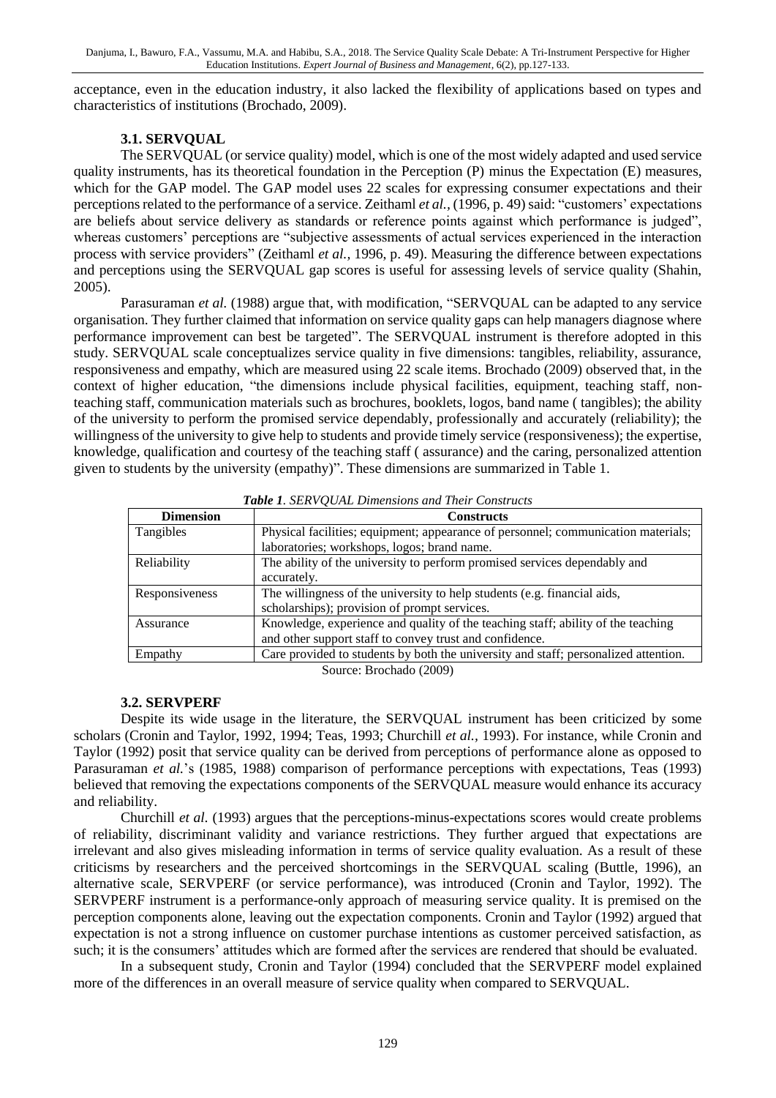acceptance, even in the education industry, it also lacked the flexibility of applications based on types and characteristics of institutions (Brochado, 2009).

#### **3.1. SERVQUAL**

The SERVQUAL (or service quality) model, which is one of the most widely adapted and used service quality instruments, has its theoretical foundation in the Perception (P) minus the Expectation (E) measures, which for the GAP model. The GAP model uses 22 scales for expressing consumer expectations and their perceptions related to the performance of a service. Zeithaml *et al.*, (1996, p. 49) said: "customers' expectations are beliefs about service delivery as standards or reference points against which performance is judged", whereas customers' perceptions are "subjective assessments of actual services experienced in the interaction process with service providers" (Zeithaml *et al.,* 1996, p. 49). Measuring the difference between expectations and perceptions using the SERVQUAL gap scores is useful for assessing levels of service quality (Shahin, 2005).

Parasuraman *et al.* (1988) argue that, with modification, "SERVQUAL can be adapted to any service organisation. They further claimed that information on service quality gaps can help managers diagnose where performance improvement can best be targeted". The SERVQUAL instrument is therefore adopted in this study. SERVQUAL scale conceptualizes service quality in five dimensions: tangibles, reliability, assurance, responsiveness and empathy, which are measured using 22 scale items. Brochado (2009) observed that, in the context of higher education, "the dimensions include physical facilities, equipment, teaching staff, nonteaching staff, communication materials such as brochures, booklets, logos, band name ( tangibles); the ability of the university to perform the promised service dependably, professionally and accurately (reliability); the willingness of the university to give help to students and provide timely service (responsiveness); the expertise, knowledge, qualification and courtesy of the teaching staff ( assurance) and the caring, personalized attention given to students by the university (empathy)". These dimensions are summarized in Table 1.

| <b>Dimension</b> | <b>Constructs</b>                                                                   |  |  |  |
|------------------|-------------------------------------------------------------------------------------|--|--|--|
| Tangibles        | Physical facilities; equipment; appearance of personnel; communication materials;   |  |  |  |
|                  | laboratories; workshops, logos; brand name.                                         |  |  |  |
| Reliability      | The ability of the university to perform promised services dependably and           |  |  |  |
|                  | accurately.                                                                         |  |  |  |
| Responsiveness   | The willingness of the university to help students (e.g. financial aids,            |  |  |  |
|                  | scholarships); provision of prompt services.                                        |  |  |  |
| Assurance        | Knowledge, experience and quality of the teaching staff; ability of the teaching    |  |  |  |
|                  | and other support staff to convey trust and confidence.                             |  |  |  |
| Empathy          | Care provided to students by both the university and staff; personalized attention. |  |  |  |

*Table 1. SERVQUAL Dimensions and Their Constructs*

Source: Brochado (2009)

#### **3.2. SERVPERF**

Despite its wide usage in the literature, the SERVQUAL instrument has been criticized by some scholars (Cronin and Taylor, 1992, 1994; Teas, 1993; Churchill *et al.,* 1993). For instance, while Cronin and Taylor (1992) posit that service quality can be derived from perceptions of performance alone as opposed to Parasuraman *et al.*'s (1985, 1988) comparison of performance perceptions with expectations, Teas (1993) believed that removing the expectations components of the SERVQUAL measure would enhance its accuracy and reliability.

Churchill *et al.* (1993) argues that the perceptions-minus-expectations scores would create problems of reliability, discriminant validity and variance restrictions. They further argued that expectations are irrelevant and also gives misleading information in terms of service quality evaluation. As a result of these criticisms by researchers and the perceived shortcomings in the SERVQUAL scaling (Buttle, 1996), an alternative scale, SERVPERF (or service performance), was introduced (Cronin and Taylor, 1992). The SERVPERF instrument is a performance-only approach of measuring service quality. It is premised on the perception components alone, leaving out the expectation components. Cronin and Taylor (1992) argued that expectation is not a strong influence on customer purchase intentions as customer perceived satisfaction, as such; it is the consumers' attitudes which are formed after the services are rendered that should be evaluated.

In a subsequent study, Cronin and Taylor (1994) concluded that the SERVPERF model explained more of the differences in an overall measure of service quality when compared to SERVQUAL.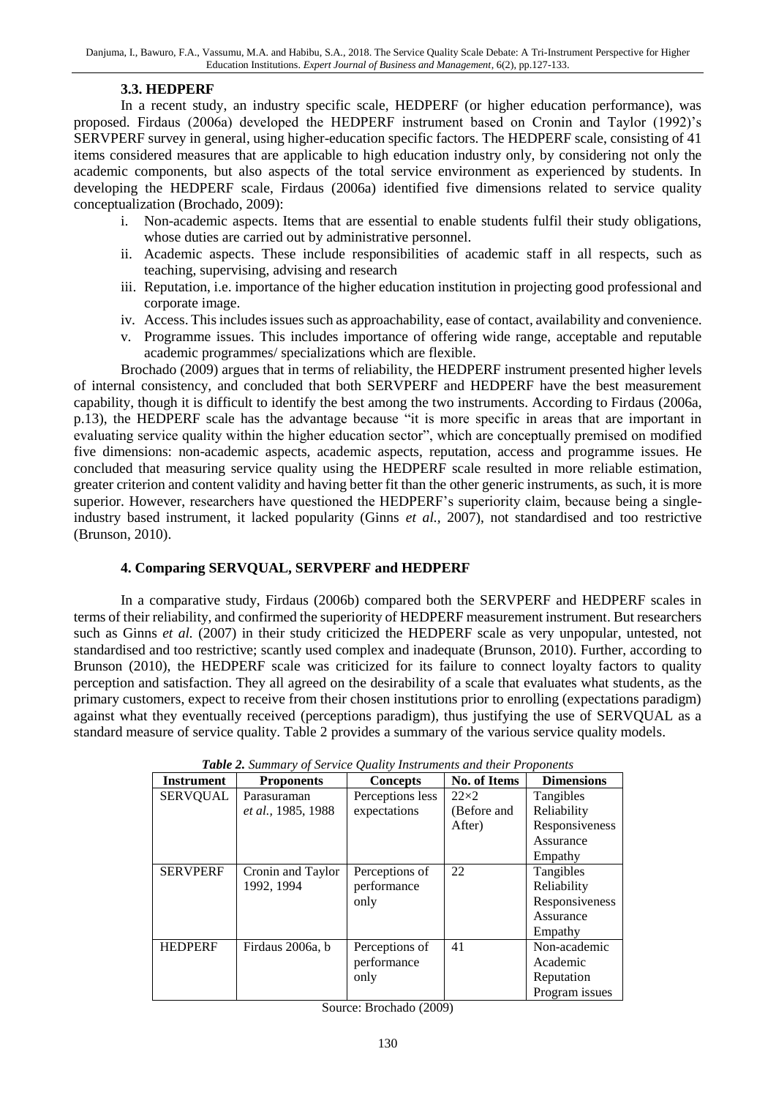#### **3.3. HEDPERF**

In a recent study, an industry specific scale, HEDPERF (or higher education performance), was proposed. Firdaus (2006a) developed the HEDPERF instrument based on Cronin and Taylor (1992)'s SERVPERF survey in general, using higher-education specific factors. The HEDPERF scale, consisting of 41 items considered measures that are applicable to high education industry only, by considering not only the academic components, but also aspects of the total service environment as experienced by students. In developing the HEDPERF scale, Firdaus (2006a) identified five dimensions related to service quality conceptualization (Brochado, 2009):

- i. Non-academic aspects. Items that are essential to enable students fulfil their study obligations, whose duties are carried out by administrative personnel.
- ii. Academic aspects. These include responsibilities of academic staff in all respects, such as teaching, supervising, advising and research
- iii. Reputation, i.e. importance of the higher education institution in projecting good professional and corporate image.
- iv. Access. This includes issues such as approachability, ease of contact, availability and convenience.
- v. Programme issues. This includes importance of offering wide range, acceptable and reputable academic programmes/ specializations which are flexible.

Brochado (2009) argues that in terms of reliability, the HEDPERF instrument presented higher levels of internal consistency, and concluded that both SERVPERF and HEDPERF have the best measurement capability, though it is difficult to identify the best among the two instruments. According to Firdaus (2006a, p.13), the HEDPERF scale has the advantage because "it is more specific in areas that are important in evaluating service quality within the higher education sector", which are conceptually premised on modified five dimensions: non-academic aspects, academic aspects, reputation, access and programme issues. He concluded that measuring service quality using the HEDPERF scale resulted in more reliable estimation, greater criterion and content validity and having better fit than the other generic instruments, as such, it is more superior. However, researchers have questioned the HEDPERF's superiority claim, because being a singleindustry based instrument, it lacked popularity (Ginns *et al.,* 2007), not standardised and too restrictive (Brunson, 2010).

#### **4. Comparing SERVQUAL, SERVPERF and HEDPERF**

In a comparative study, Firdaus (2006b) compared both the SERVPERF and HEDPERF scales in terms of their reliability, and confirmed the superiority of HEDPERF measurement instrument. But researchers such as Ginns *et al.* (2007) in their study criticized the HEDPERF scale as very unpopular, untested, not standardised and too restrictive; scantly used complex and inadequate (Brunson, 2010). Further, according to Brunson (2010), the HEDPERF scale was criticized for its failure to connect loyalty factors to quality perception and satisfaction. They all agreed on the desirability of a scale that evaluates what students, as the primary customers, expect to receive from their chosen institutions prior to enrolling (expectations paradigm) against what they eventually received (perceptions paradigm), thus justifying the use of SERVQUAL as a standard measure of service quality. Table 2 provides a summary of the various service quality models.

| <b>Instrument</b> | <b>Proponents</b>         | <b>Concepts</b>  | No. of Items | <b>Dimensions</b> |
|-------------------|---------------------------|------------------|--------------|-------------------|
| <b>SERVQUAL</b>   | Parasuraman               | Perceptions less | $22\times2$  | Tangibles         |
|                   | <i>et al.,</i> 1985, 1988 | expectations     | (Before and  | Reliability       |
|                   |                           |                  | After)       | Responsiveness    |
|                   |                           |                  |              | Assurance         |
|                   |                           |                  |              | Empathy           |
| <b>SERVPERF</b>   | Cronin and Taylor         | Perceptions of   | 22           | Tangibles         |
|                   | 1992, 1994                | performance      |              | Reliability       |
|                   |                           | only             |              | Responsiveness    |
|                   |                           |                  |              | Assurance         |
|                   |                           |                  |              | Empathy           |
| <b>HEDPERF</b>    | Firdaus 2006a, b          | Perceptions of   | 41           | Non-academic      |
|                   |                           | performance      |              | Academic          |
|                   |                           | only             |              | Reputation        |
|                   |                           |                  |              | Program issues    |

*Table 2. Summary of Service Quality Instruments and their Proponents*

Source: Brochado (2009)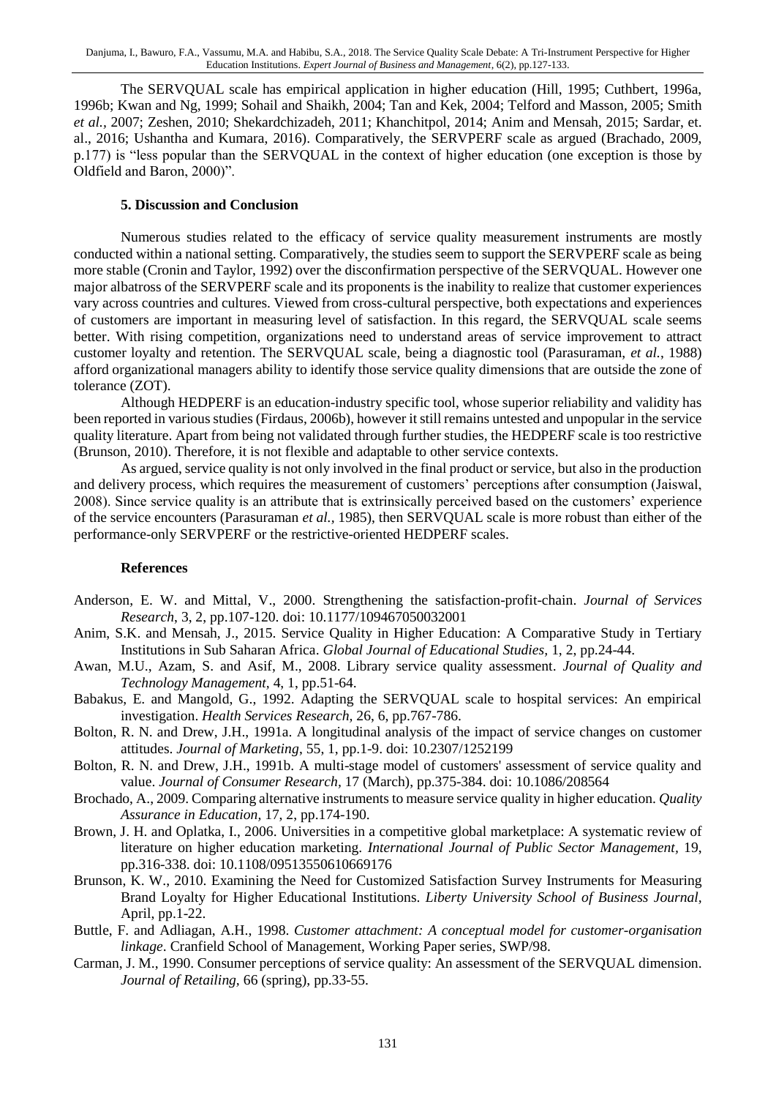The SERVQUAL scale has empirical application in higher education (Hill, 1995; Cuthbert, 1996a, 1996b; Kwan and Ng, 1999; Sohail and Shaikh, 2004; Tan and Kek, 2004; Telford and Masson, 2005; Smith *et al.,* 2007; Zeshen, 2010; Shekardchizadeh, 2011; Khanchitpol, 2014; Anim and Mensah, 2015; Sardar, et. al., 2016; Ushantha and Kumara, 2016). Comparatively, the SERVPERF scale as argued (Brachado, 2009, p.177) is "less popular than the SERVQUAL in the context of higher education (one exception is those by Oldfield and Baron, 2000)".

#### **5. Discussion and Conclusion**

Numerous studies related to the efficacy of service quality measurement instruments are mostly conducted within a national setting. Comparatively, the studies seem to support the SERVPERF scale as being more stable (Cronin and Taylor, 1992) over the disconfirmation perspective of the SERVQUAL. However one major albatross of the SERVPERF scale and its proponents is the inability to realize that customer experiences vary across countries and cultures. Viewed from cross-cultural perspective, both expectations and experiences of customers are important in measuring level of satisfaction. In this regard, the SERVQUAL scale seems better. With rising competition, organizations need to understand areas of service improvement to attract customer loyalty and retention. The SERVQUAL scale, being a diagnostic tool (Parasuraman, *et al.*, 1988) afford organizational managers ability to identify those service quality dimensions that are outside the zone of tolerance (ZOT).

Although HEDPERF is an education-industry specific tool, whose superior reliability and validity has been reported in various studies(Firdaus, 2006b), however it still remains untested and unpopular in the service quality literature. Apart from being not validated through further studies, the HEDPERF scale is too restrictive (Brunson, 2010). Therefore, it is not flexible and adaptable to other service contexts.

As argued, service quality is not only involved in the final product or service, but also in the production and delivery process, which requires the measurement of customers' perceptions after consumption (Jaiswal, 2008). Since service quality is an attribute that is extrinsically perceived based on the customers' experience of the service encounters (Parasuraman *et al.,* 1985), then SERVQUAL scale is more robust than either of the performance-only SERVPERF or the restrictive-oriented HEDPERF scales.

#### **References**

- Anderson, E. W. and Mittal, V., 2000. Strengthening the satisfaction-profit-chain. *Journal of Services Research*, 3, 2, pp.107-120. doi: 10.1177/109467050032001
- Anim, S.K. and Mensah, J., 2015. Service Quality in Higher Education: A Comparative Study in Tertiary Institutions in Sub Saharan Africa. *Global Journal of Educational Studies,* 1, 2, pp.24-44.
- Awan, M.U., Azam, S. and Asif, M., 2008. Library service quality assessment. *Journal of Quality and Technology Management,* 4, 1, pp.51-64.
- Babakus, E. and Mangold, G., 1992. Adapting the SERVQUAL scale to hospital services: An empirical investigation. *Health Services Research,* 26, 6, pp.767-786.
- Bolton, R. N. and Drew, J.H., 1991a. A longitudinal analysis of the impact of service changes on customer attitudes. *Journal of Marketing*, 55, 1, pp.1-9. doi: 10.2307/1252199
- Bolton, R. N. and Drew, J.H., 1991b. A multi-stage model of customers' assessment of service quality and value. *Journal of Consumer Research,* 17 (March), pp.375-384. doi: 10.1086/208564
- Brochado, A., 2009. Comparing alternative instruments to measure service quality in higher education. *Quality Assurance in Education,* 17, 2, pp.174-190.
- Brown, J. H. and Oplatka, I., 2006. Universities in a competitive global marketplace: A systematic review of literature on higher education marketing. *International Journal of Public Sector Management,* 19, pp.316-338. doi: 10.1108/09513550610669176
- Brunson, K. W., 2010. Examining the Need for Customized Satisfaction Survey Instruments for Measuring Brand Loyalty for Higher Educational Institutions. *Liberty University School of Business Journal,* April, pp.1-22.
- Buttle, F. and Adliagan, A.H., 1998. *Customer attachment: A conceptual model for customer-organisation linkage*. Cranfield School of Management, Working Paper series, SWP/98.
- Carman, J. M., 1990. Consumer perceptions of service quality: An assessment of the SERVQUAL dimension. *Journal of Retailing,* 66 (spring), pp.33-55.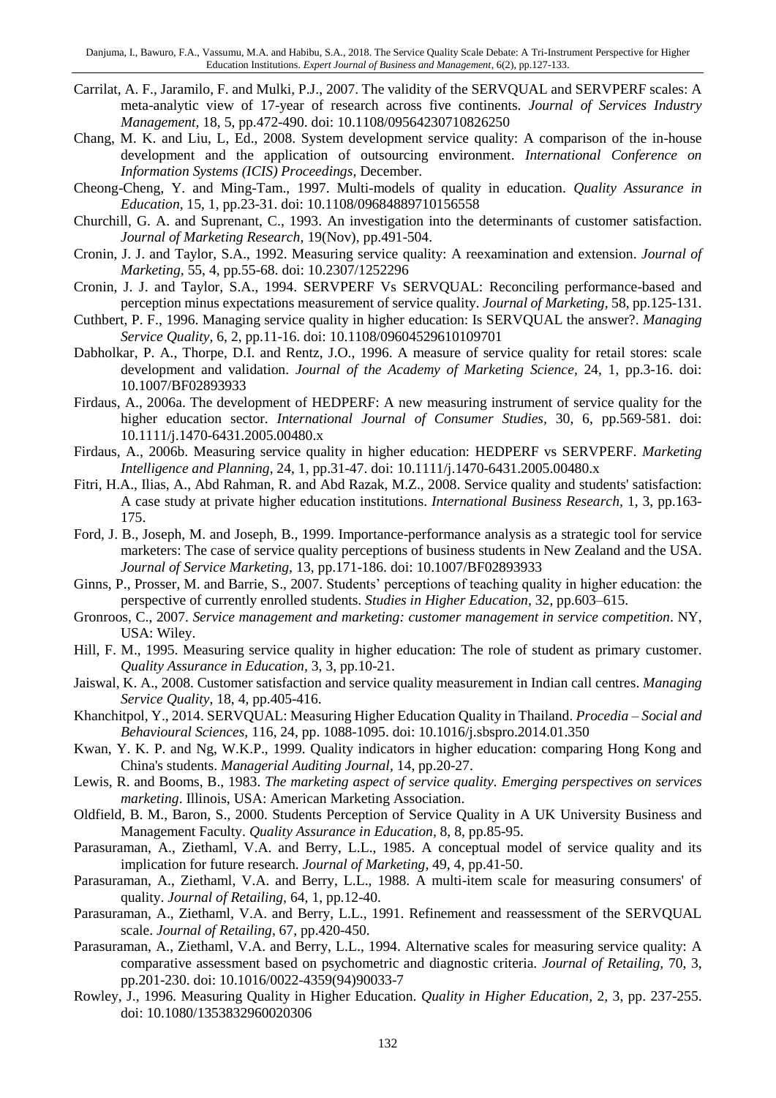- Carrilat, A. F., Jaramilo, F. and Mulki, P.J., 2007. The validity of the SERVQUAL and SERVPERF scales: A meta-analytic view of 17-year of research across five continents. *Journal of Services Industry Management,* 18, 5, pp.472-490. doi: 10.1108/09564230710826250
- Chang, M. K. and Liu, L, Ed., 2008. System development service quality: A comparison of the in-house development and the application of outsourcing environment. *International Conference on Information Systems (ICIS) Proceedings,* December*.*
- Cheong-Cheng, Y. and Ming-Tam., 1997. Multi-models of quality in education. *Quality Assurance in Education,* 15, 1, pp.23-31. doi: 10.1108/09684889710156558
- Churchill, G. A. and Suprenant, C., 1993. An investigation into the determinants of customer satisfaction. *Journal of Marketing Research,* 19(Nov), pp.491-504.
- Cronin, J. J. and Taylor, S.A., 1992. Measuring service quality: A reexamination and extension. *Journal of Marketing,* 55, 4, pp.55-68. doi: 10.2307/1252296
- Cronin, J. J. and Taylor, S.A., 1994. SERVPERF Vs SERVQUAL: Reconciling performance-based and perception minus expectations measurement of service quality. *Journal of Marketing,* 58, pp.125-131.
- Cuthbert, P. F., 1996. Managing service quality in higher education: Is SERVQUAL the answer?. *Managing Service Quality,* 6, 2, pp.11-16. doi: 10.1108/09604529610109701
- Dabholkar, P. A., Thorpe, D.I. and Rentz, J.O., 1996. A measure of service quality for retail stores: scale development and validation. *Journal of the Academy of Marketing Science,* 24, 1, pp.3-16. doi: 10.1007/BF02893933
- Firdaus, A., 2006a. The development of HEDPERF: A new measuring instrument of service quality for the higher education sector. *International Journal of Consumer Studies,* 30, 6, pp.569-581. doi: 10.1111/j.1470-6431.2005.00480.x
- Firdaus, A., 2006b. Measuring service quality in higher education: HEDPERF vs SERVPERF. *Marketing Intelligence and Planning*, 24, 1, pp.31-47. doi: 10.1111/j.1470-6431.2005.00480.x
- Fitri, H.A., Ilias, A., Abd Rahman, R. and Abd Razak, M.Z., 2008. Service quality and students' satisfaction: A case study at private higher education institutions. *International Business Research,* 1, 3, pp.163- 175.
- Ford, J. B., Joseph, M. and Joseph, B., 1999. Importance-performance analysis as a strategic tool for service marketers: The case of service quality perceptions of business students in New Zealand and the USA. *Journal of Service Marketing,* 13, pp.171-186. doi: 10.1007/BF02893933
- Ginns, P., Prosser, M. and Barrie, S., 2007. Students' perceptions of teaching quality in higher education: the perspective of currently enrolled students. *Studies in Higher Education,* 32, pp.603–615.
- Gronroos, C., 2007. *Service management and marketing: customer management in service competition*. NY, USA: Wiley.
- Hill, F. M., 1995. Measuring service quality in higher education: The role of student as primary customer. *Quality Assurance in Education,* 3, 3, pp.10-21.
- Jaiswal, K. A., 2008. Customer satisfaction and service quality measurement in Indian call centres. *Managing Service Quality*, 18, 4, pp.405-416.
- Khanchitpol, Y., 2014. SERVQUAL: Measuring Higher Education Quality in Thailand. *Procedia – Social and Behavioural Sciences,* 116, 24, pp. 1088-1095. doi: 10.1016/j.sbspro.2014.01.350
- Kwan, Y. K. P. and Ng, W.K.P., 1999. Quality indicators in higher education: comparing Hong Kong and China's students. *Managerial Auditing Journal,* 14, pp.20-27.
- Lewis, R. and Booms, B., 1983. *The marketing aspect of service quality. Emerging perspectives on services marketing*. Illinois, USA: American Marketing Association.
- Oldfield, B. M., Baron, S., 2000. Students Perception of Service Quality in A UK University Business and Management Faculty. *Quality Assurance in Education,* 8, 8, pp.85-95.
- Parasuraman, A., Ziethaml, V.A. and Berry, L.L., 1985. A conceptual model of service quality and its implication for future research. *Journal of Marketing,* 49, 4, pp.41-50.
- Parasuraman, A., Ziethaml, V.A. and Berry, L.L., 1988. A multi-item scale for measuring consumers' of quality. *Journal of Retailing,* 64, 1, pp.12-40.
- Parasuraman, A., Ziethaml, V.A. and Berry, L.L., 1991. Refinement and reassessment of the SERVQUAL scale. *Journal of Retailing,* 67, pp.420-450.
- Parasuraman, A., Ziethaml, V.A. and Berry, L.L., 1994. Alternative scales for measuring service quality: A comparative assessment based on psychometric and diagnostic criteria. *Journal of Retailing,* 70, 3, pp.201-230. doi: 10.1016/0022-4359(94)90033-7
- Rowley, J., 1996. Measuring Quality in Higher Education. *Quality in Higher Education,* 2, 3, pp. 237-255. doi: 10.1080/1353832960020306